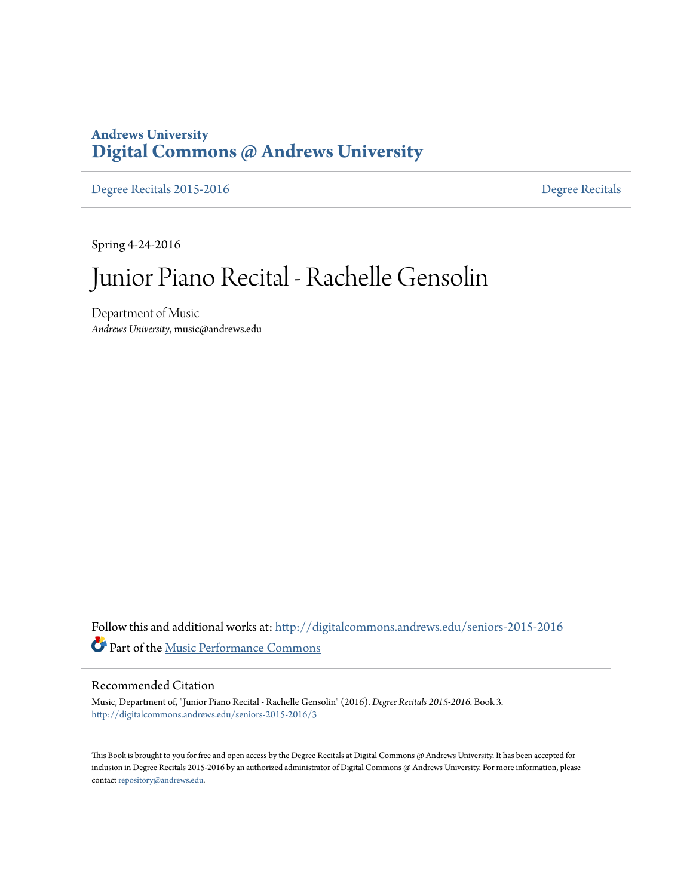### **Andrews University [Digital Commons @ Andrews University](http://digitalcommons.andrews.edu?utm_source=digitalcommons.andrews.edu%2Fseniors-2015-2016%2F3&utm_medium=PDF&utm_campaign=PDFCoverPages)**

[Degree Recitals 2015-2016](http://digitalcommons.andrews.edu/seniors-2015-2016?utm_source=digitalcommons.andrews.edu%2Fseniors-2015-2016%2F3&utm_medium=PDF&utm_campaign=PDFCoverPages) **[Degree Recitals](http://digitalcommons.andrews.edu/music-seniors?utm_source=digitalcommons.andrews.edu%2Fseniors-2015-2016%2F3&utm_medium=PDF&utm_campaign=PDFCoverPages)** 

Spring 4-24-2016

## Junior Piano Recital - Rachelle Gensolin

Department of Music *Andrews University*, music@andrews.edu

Follow this and additional works at: [http://digitalcommons.andrews.edu/seniors-2015-2016](http://digitalcommons.andrews.edu/seniors-2015-2016?utm_source=digitalcommons.andrews.edu%2Fseniors-2015-2016%2F3&utm_medium=PDF&utm_campaign=PDFCoverPages) Part of the [Music Performance Commons](http://network.bepress.com/hgg/discipline/1128?utm_source=digitalcommons.andrews.edu%2Fseniors-2015-2016%2F3&utm_medium=PDF&utm_campaign=PDFCoverPages)

#### Recommended Citation

Music, Department of, "Junior Piano Recital - Rachelle Gensolin" (2016). *Degree Recitals 2015-2016.* Book 3. [http://digitalcommons.andrews.edu/seniors-2015-2016/3](http://digitalcommons.andrews.edu/seniors-2015-2016/3?utm_source=digitalcommons.andrews.edu%2Fseniors-2015-2016%2F3&utm_medium=PDF&utm_campaign=PDFCoverPages)

This Book is brought to you for free and open access by the Degree Recitals at Digital Commons @ Andrews University. It has been accepted for inclusion in Degree Recitals 2015-2016 by an authorized administrator of Digital Commons @ Andrews University. For more information, please contact [repository@andrews.edu.](mailto:repository@andrews.edu)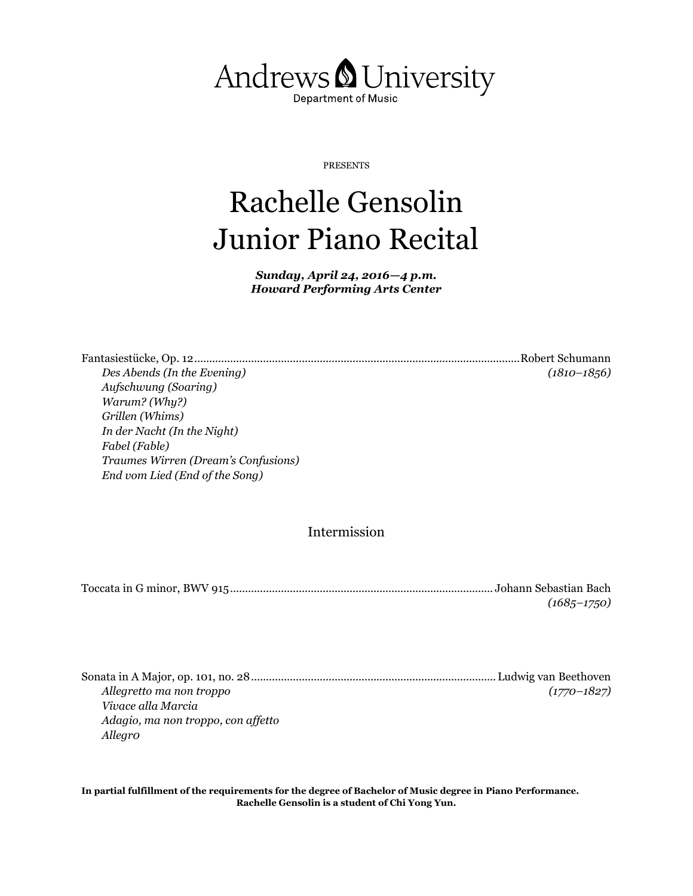

PRESENTS

# Rachelle Gensolin Junior Piano Recital

*Sunday, April 24, 2016—4 p.m. Howard Performing Arts Center*

Fantasiestücke, Op. 12.............................................................................................................Robert Schumann *Des Abends (In the Evening) (1810–1856) Aufschwung (Soaring) Warum? (Why?) Grillen (Whims) In der Nacht (In the Night) Fabel (Fable) Traumes Wirren (Dream's Confusions) End vom Lied (End of the Song)*

Intermission

Toccata in G minor, BWV 915........................................................................................ Johann Sebastian Bach *(1685–1750)*

Sonata in A Major, op. 101, no. 28.................................................................................. Ludwig van Beethoven *Allegretto ma non troppo (1770–1827) Vivace alla Marcia Adagio, ma non troppo, con affetto Allegr0*

**In partial fulfillment of the requirements for the degree of Bachelor of Music degree in Piano Performance. Rachelle Gensolin is a student of Chi Yong Yun.**